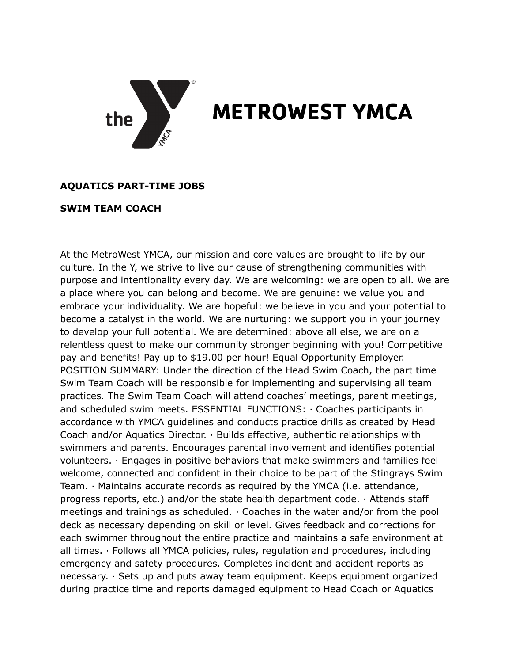

## **METROWEST YMCA**

## **AQUATICS PART-TIME JOBS**

## **SWIM TEAM COACH**

At the MetroWest YMCA, our mission and core values are brought to life by our culture. In the Y, we strive to live our cause of strengthening communities with purpose and intentionality every day. We are welcoming: we are open to all. We are a place where you can belong and become. We are genuine: we value you and embrace your individuality. We are hopeful: we believe in you and your potential to become a catalyst in the world. We are nurturing: we support you in your journey to develop your full potential. We are determined: above all else, we are on a relentless quest to make our community stronger beginning with you! Competitive pay and benefits! Pay up to \$19.00 per hour! Equal Opportunity Employer. POSITION SUMMARY: Under the direction of the Head Swim Coach, the part time Swim Team Coach will be responsible for implementing and supervising all team practices. The Swim Team Coach will attend coaches' meetings, parent meetings, and scheduled swim meets. ESSENTIAL FUNCTIONS: · Coaches participants in accordance with YMCA guidelines and conducts practice drills as created by Head Coach and/or Aquatics Director. · Builds effective, authentic relationships with swimmers and parents. Encourages parental involvement and identifies potential volunteers. · Engages in positive behaviors that make swimmers and families feel welcome, connected and confident in their choice to be part of the Stingrays Swim Team. · Maintains accurate records as required by the YMCA (i.e. attendance, progress reports, etc.) and/or the state health department code.  $\cdot$  Attends staff meetings and trainings as scheduled.  $\cdot$  Coaches in the water and/or from the pool deck as necessary depending on skill or level. Gives feedback and corrections for each swimmer throughout the entire practice and maintains a safe environment at all times. · Follows all YMCA policies, rules, regulation and procedures, including emergency and safety procedures. Completes incident and accident reports as necessary. · Sets up and puts away team equipment. Keeps equipment organized during practice time and reports damaged equipment to Head Coach or Aquatics